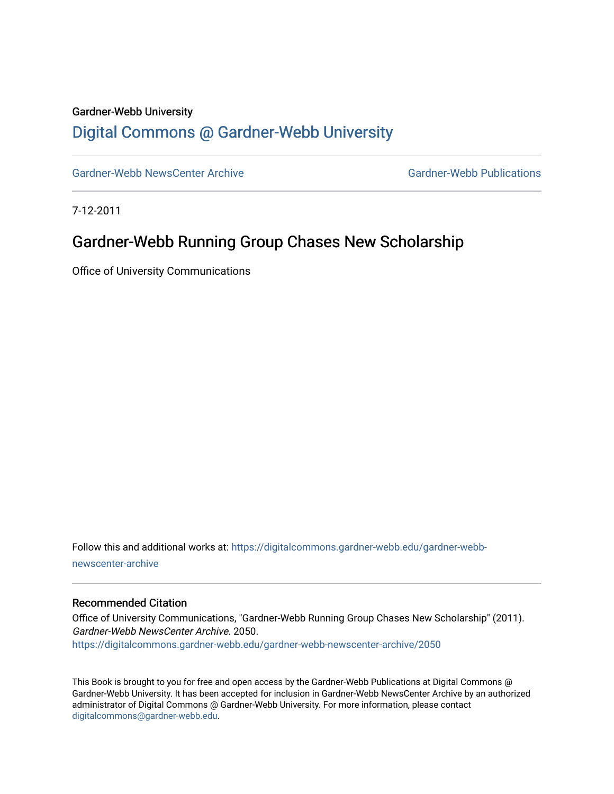### Gardner-Webb University

## [Digital Commons @ Gardner-Webb University](https://digitalcommons.gardner-webb.edu/)

[Gardner-Webb NewsCenter Archive](https://digitalcommons.gardner-webb.edu/gardner-webb-newscenter-archive) Gardner-Webb Publications

7-12-2011

### Gardner-Webb Running Group Chases New Scholarship

Office of University Communications

Follow this and additional works at: [https://digitalcommons.gardner-webb.edu/gardner-webb](https://digitalcommons.gardner-webb.edu/gardner-webb-newscenter-archive?utm_source=digitalcommons.gardner-webb.edu%2Fgardner-webb-newscenter-archive%2F2050&utm_medium=PDF&utm_campaign=PDFCoverPages)[newscenter-archive](https://digitalcommons.gardner-webb.edu/gardner-webb-newscenter-archive?utm_source=digitalcommons.gardner-webb.edu%2Fgardner-webb-newscenter-archive%2F2050&utm_medium=PDF&utm_campaign=PDFCoverPages)

#### Recommended Citation

Office of University Communications, "Gardner-Webb Running Group Chases New Scholarship" (2011). Gardner-Webb NewsCenter Archive. 2050. [https://digitalcommons.gardner-webb.edu/gardner-webb-newscenter-archive/2050](https://digitalcommons.gardner-webb.edu/gardner-webb-newscenter-archive/2050?utm_source=digitalcommons.gardner-webb.edu%2Fgardner-webb-newscenter-archive%2F2050&utm_medium=PDF&utm_campaign=PDFCoverPages) 

This Book is brought to you for free and open access by the Gardner-Webb Publications at Digital Commons @ Gardner-Webb University. It has been accepted for inclusion in Gardner-Webb NewsCenter Archive by an authorized administrator of Digital Commons @ Gardner-Webb University. For more information, please contact [digitalcommons@gardner-webb.edu](mailto:digitalcommons@gardner-webb.edu).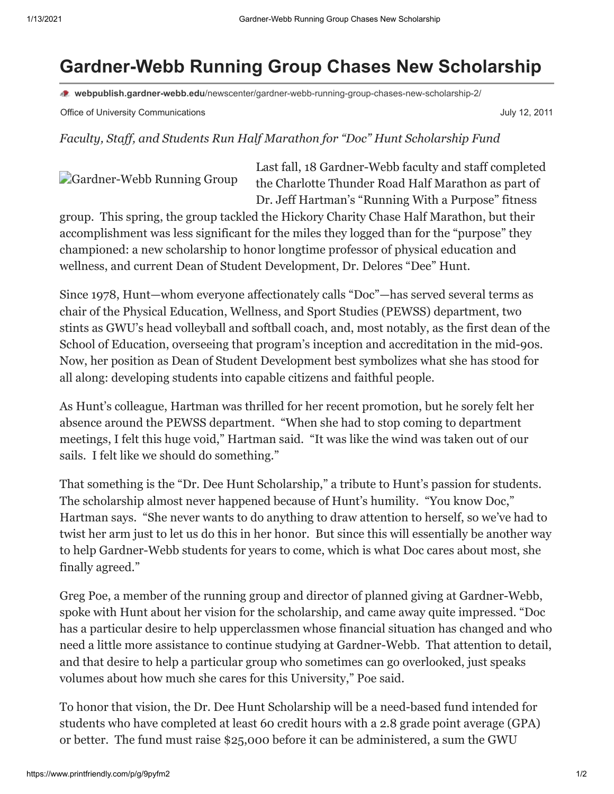# **Gardner-Webb Running Group Chases New Scholarship**

**webpublish.gardner-webb.edu**[/newscenter/gardner-webb-running-group-chases-new-scholarship-2/](https://webpublish.gardner-webb.edu/newscenter/gardner-webb-running-group-chases-new-scholarship-2/)

Office of University Communications **Communications** July 12, 2011

*Faculty, Staff, and Students Run Half Marathon for "Doc" Hunt Scholarship Fund*

[Gardner-Webb Running Group](http://152.44.63.252/newscenter/?attachment_id=834)

Last fall, 18 Gardner-Webb faculty and staff completed the Charlotte Thunder Road Half Marathon as part of Dr. Jeff Hartman's "Running With a Purpose" fitness

group. This spring, the group tackled the Hickory Charity Chase Half Marathon, but their accomplishment was less significant for the miles they logged than for the "purpose" they championed: a new scholarship to honor longtime professor of physical education and wellness, and current Dean of Student Development, Dr. Delores "Dee" Hunt.

Since 1978, Hunt—whom everyone affectionately calls "Doc"—has served several terms as chair of the Physical Education, Wellness, and Sport Studies (PEWSS) department, two stints as GWU's head volleyball and softball coach, and, most notably, as the first dean of the School of Education, overseeing that program's inception and accreditation in the mid-90s. Now, her position as Dean of Student Development best symbolizes what she has stood for all along: developing students into capable citizens and faithful people.

As Hunt's colleague, Hartman was thrilled for her recent promotion, but he sorely felt her absence around the PEWSS department. "When she had to stop coming to department meetings, I felt this huge void," Hartman said. "It was like the wind was taken out of our sails. I felt like we should do something."

That something is the "Dr. Dee Hunt Scholarship," a tribute to Hunt's passion for students. The scholarship almost never happened because of Hunt's humility. "You know Doc," Hartman says. "She never wants to do anything to draw attention to herself, so we've had to twist her arm just to let us do this in her honor. But since this will essentially be another way to help Gardner-Webb students for years to come, which is what Doc cares about most, she finally agreed."

Greg Poe, a member of the running group and director of planned giving at Gardner-Webb, spoke with Hunt about her vision for the scholarship, and came away quite impressed. "Doc has a particular desire to help upperclassmen whose financial situation has changed and who need a little more assistance to continue studying at Gardner-Webb. That attention to detail, and that desire to help a particular group who sometimes can go overlooked, just speaks volumes about how much she cares for this University," Poe said.

To honor that vision, the Dr. Dee Hunt Scholarship will be a need-based fund intended for students who have completed at least 60 credit hours with a 2.8 grade point average (GPA) or better. The fund must raise \$25,000 before it can be administered, a sum the GWU